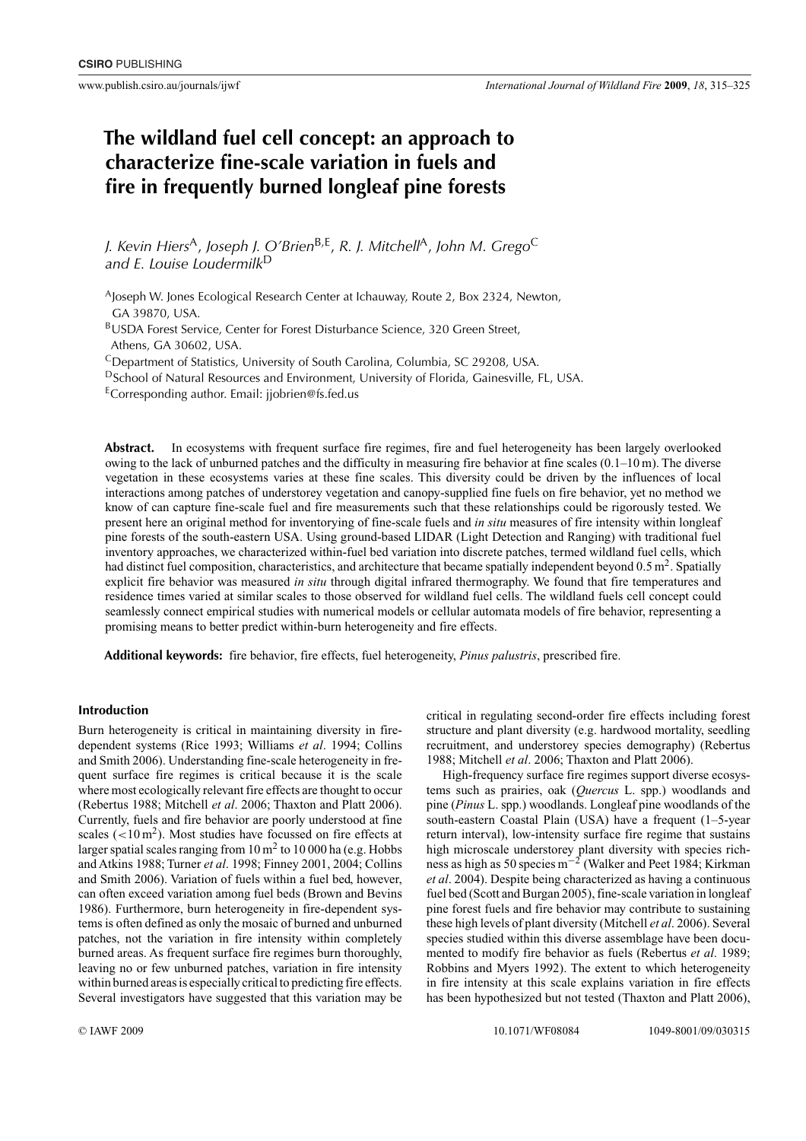# **The wildland fuel cell concept: an approach to characterize fine-scale variation in fuels and fire in frequently burned longleaf pine forests**

*J. Kevin Hiers*A, *Joseph J. O'Brien*B,E, *R. J. Mitchell*A, *John M. Grego*<sup>C</sup> *and E. Louise Loudermilk*<sup>D</sup>

AJoseph W. Jones Ecological Research Center at Ichauway, Route 2, Box 2324, Newton, GA 39870, USA.

BUSDA Forest Service, Center for Forest Disturbance Science, 320 Green Street, Athens, GA 30602, USA.

CDepartment of Statistics, University of South Carolina, Columbia, SC 29208, USA.

DSchool of Natural Resources and Environment, University of Florida, Gainesville, FL, USA.

ECorresponding author. Email: [jjobrien@fs.fed.us](mailto:jjobrien@fs.fed.us)

**Abstract.** In ecosystems with frequent surface fire regimes, fire and fuel heterogeneity has been largely overlooked owing to the lack of unburned patches and the difficulty in measuring fire behavior at fine scales  $(0.1-10 \text{ m})$ . The diverse vegetation in these ecosystems varies at these fine scales. This diversity could be driven by the influences of local interactions among patches of understorey vegetation and canopy-supplied fine fuels on fire behavior, yet no method we know of can capture fine-scale fuel and fire measurements such that these relationships could be rigorously tested. We present here an original method for inventorying of fine-scale fuels and *in situ* measures of fire intensity within longleaf pine forests of the south-eastern USA. Using ground-based LIDAR (Light Detection and Ranging) with traditional fuel inventory approaches, we characterized within-fuel bed variation into discrete patches, termed wildland fuel cells, which had distinct fuel composition, characteristics, and architecture that became spatially independent beyond  $0.5 \text{ m}^2$ . Spatially explicit fire behavior was measured *in situ* through digital infrared thermography. We found that fire temperatures and residence times varied at similar scales to those observed for wildland fuel cells. The wildland fuels cell concept could seamlessly connect empirical studies with numerical models or cellular automata models of fire behavior, representing a promising means to better predict within-burn heterogeneity and fire effects.

**Additional keywords:** fire behavior, fire effects, fuel heterogeneity, *Pinus palustris*, prescribed fire.

# **Introduction**

Burn heterogeneity is critical in maintaining diversity in firedependent systems (Rice 1993; Williams *et al*. 1994; Collins and Smith 2006). Understanding fine-scale heterogeneity in frequent surface fire regimes is critical because it is the scale where most ecologically relevant fire effects are thought to occur (Rebertus 1988; Mitchell *et al*. 2006; Thaxton and Platt 2006). Currently, fuels and fire behavior are poorly understood at fine scales (<10 m<sup>2</sup>). Most studies have focussed on fire effects at larger spatial scales ranging from  $10 \text{ m}^2$  to  $10\,000$  ha (e.g. Hobbs and Atkins 1988; Turner *et al*. 1998; Finney 2001, 2004; Collins and Smith 2006). Variation of fuels within a fuel bed, however, can often exceed variation among fuel beds (Brown and Bevins 1986). Furthermore, burn heterogeneity in fire-dependent systems is often defined as only the mosaic of burned and unburned patches, not the variation in fire intensity within completely burned areas. As frequent surface fire regimes burn thoroughly, leaving no or few unburned patches, variation in fire intensity within burned areas is especially critical to predicting fire effects. Several investigators have suggested that this variation may be

critical in regulating second-order fire effects including forest structure and plant diversity (e.g. hardwood mortality, seedling recruitment, and understorey species demography) (Rebertus 1988; Mitchell *et al*. 2006; Thaxton and Platt 2006).

High-frequency surface fire regimes support diverse ecosystems such as prairies, oak (*Quercus* L. spp.) woodlands and pine (*Pinus* L. spp.) woodlands. Longleaf pine woodlands of the south-eastern Coastal Plain (USA) have a frequent (1–5-year return interval), low-intensity surface fire regime that sustains high microscale understorey plant diversity with species richness as high as 50 species m−<sup>2</sup> (Walker and Peet 1984; Kirkman *et al*. 2004). Despite being characterized as having a continuous fuel bed (Scott and Burgan 2005), fine-scale variation in longleaf pine forest fuels and fire behavior may contribute to sustaining these high levels of plant diversity (Mitchell *et al*. 2006). Several species studied within this diverse assemblage have been documented to modify fire behavior as fuels (Rebertus *et al*. 1989; Robbins and Myers 1992). The extent to which heterogeneity in fire intensity at this scale explains variation in fire effects has been hypothesized but not tested (Thaxton and Platt 2006),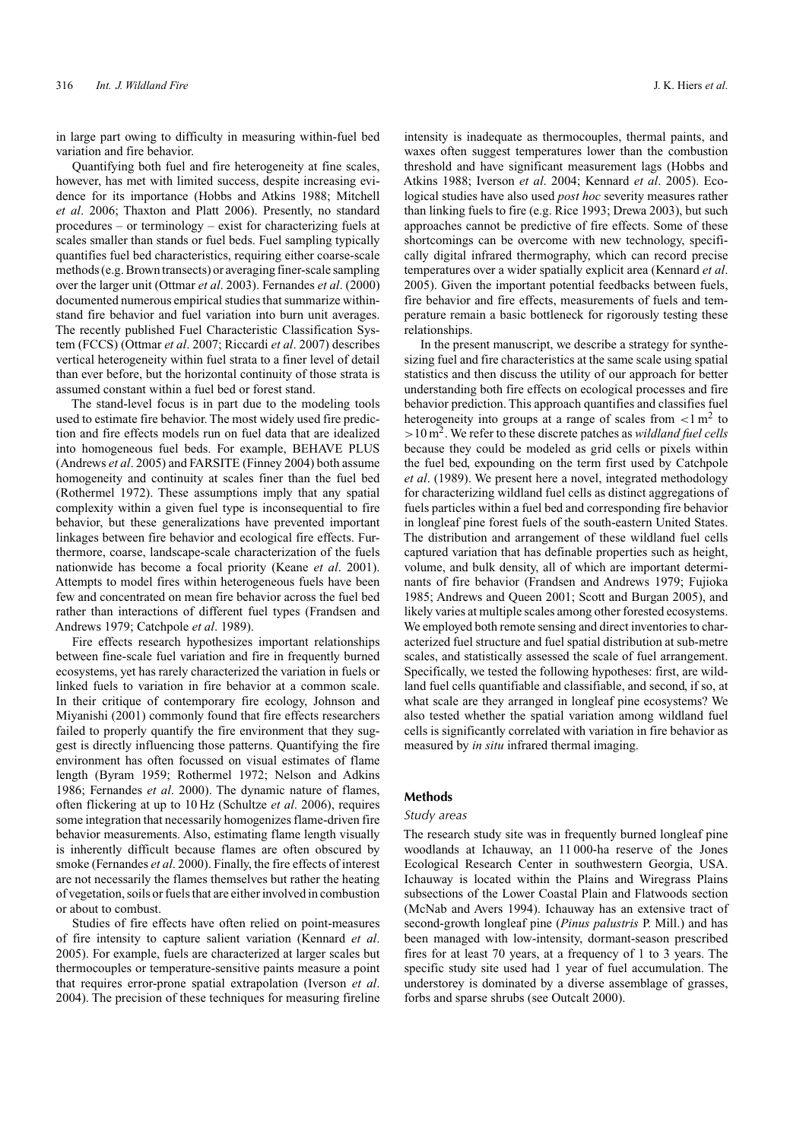in large part owing to difficulty in measuring within-fuel bed variation and fire behavior.

Quantifying both fuel and fire heterogeneity at fine scales, however, has met with limited success, despite increasing evidence for its importance (Hobbs and Atkins 1988; Mitchell *et al*. 2006; Thaxton and Platt 2006). Presently, no standard procedures – or terminology – exist for characterizing fuels at scales smaller than stands or fuel beds. Fuel sampling typically quantifies fuel bed characteristics, requiring either coarse-scale methods (e.g. Brown transects) or averaging finer-scale sampling over the larger unit (Ottmar *et al*. 2003). Fernandes *et al*. (2000) documented numerous empirical studies that summarize withinstand fire behavior and fuel variation into burn unit averages. The recently published Fuel Characteristic Classification System (FCCS) (Ottmar *et al*. 2007; Riccardi *et al*. 2007) describes vertical heterogeneity within fuel strata to a finer level of detail than ever before, but the horizontal continuity of those strata is assumed constant within a fuel bed or forest stand.

The stand-level focus is in part due to the modeling tools used to estimate fire behavior. The most widely used fire prediction and fire effects models run on fuel data that are idealized into homogeneous fuel beds. For example, BEHAVE PLUS (Andrews *et al*. 2005) and FARSITE (Finney 2004) both assume homogeneity and continuity at scales finer than the fuel bed (Rothermel 1972). These assumptions imply that any spatial complexity within a given fuel type is inconsequential to fire behavior, but these generalizations have prevented important linkages between fire behavior and ecological fire effects. Furthermore, coarse, landscape-scale characterization of the fuels nationwide has become a focal priority (Keane *et al*. 2001). Attempts to model fires within heterogeneous fuels have been few and concentrated on mean fire behavior across the fuel bed rather than interactions of different fuel types (Frandsen and Andrews 1979; Catchpole *et al*. 1989).

Fire effects research hypothesizes important relationships between fine-scale fuel variation and fire in frequently burned ecosystems, yet has rarely characterized the variation in fuels or linked fuels to variation in fire behavior at a common scale. In their critique of contemporary fire ecology, Johnson and Miyanishi (2001) commonly found that fire effects researchers failed to properly quantify the fire environment that they suggest is directly influencing those patterns. Quantifying the fire environment has often focussed on visual estimates of flame length (Byram 1959; Rothermel 1972; Nelson and Adkins 1986; Fernandes *et al*. 2000). The dynamic nature of flames, often flickering at up to 10 Hz (Schultze *et al*. 2006), requires some integration that necessarily homogenizes flame-driven fire behavior measurements. Also, estimating flame length visually is inherently difficult because flames are often obscured by smoke (Fernandes *et al*. 2000). Finally, the fire effects of interest are not necessarily the flames themselves but rather the heating of vegetation, soils or fuels that are either involved in combustion or about to combust.

Studies of fire effects have often relied on point-measures of fire intensity to capture salient variation (Kennard *et al*. 2005). For example, fuels are characterized at larger scales but thermocouples or temperature-sensitive paints measure a point that requires error-prone spatial extrapolation (Iverson *et al*. 2004). The precision of these techniques for measuring fireline

intensity is inadequate as thermocouples, thermal paints, and waxes often suggest temperatures lower than the combustion threshold and have significant measurement lags (Hobbs and Atkins 1988; Iverson *et al*. 2004; Kennard *et al*. 2005). Ecological studies have also used *post hoc* severity measures rather than linking fuels to fire (e.g. Rice 1993; Drewa 2003), but such approaches cannot be predictive of fire effects. Some of these shortcomings can be overcome with new technology, specifically digital infrared thermography, which can record precise temperatures over a wider spatially explicit area (Kennard *et al*. 2005). Given the important potential feedbacks between fuels, fire behavior and fire effects, measurements of fuels and temperature remain a basic bottleneck for rigorously testing these relationships.

In the present manuscript, we describe a strategy for synthesizing fuel and fire characteristics at the same scale using spatial statistics and then discuss the utility of our approach for better understanding both fire effects on ecological processes and fire behavior prediction. This approach quantifies and classifies fuel heterogeneity into groups at a range of scales from *<*1 m<sup>2</sup> to *>*10 m2. We refer to these discrete patches as *wildland fuel cells* because they could be modeled as grid cells or pixels within the fuel bed, expounding on the term first used by Catchpole *et al*. (1989). We present here a novel, integrated methodology for characterizing wildland fuel cells as distinct aggregations of fuels particles within a fuel bed and corresponding fire behavior in longleaf pine forest fuels of the south-eastern United States. The distribution and arrangement of these wildland fuel cells captured variation that has definable properties such as height, volume, and bulk density, all of which are important determinants of fire behavior (Frandsen and Andrews 1979; Fujioka 1985; Andrews and Queen 2001; Scott and Burgan 2005), and likely varies at multiple scales among other forested ecosystems. We employed both remote sensing and direct inventories to characterized fuel structure and fuel spatial distribution at sub-metre scales, and statistically assessed the scale of fuel arrangement. Specifically, we tested the following hypotheses: first, are wildland fuel cells quantifiable and classifiable, and second, if so, at what scale are they arranged in longleaf pine ecosystems? We also tested whether the spatial variation among wildland fuel cells is significantly correlated with variation in fire behavior as measured by *in situ* infrared thermal imaging.

# **Methods**

## *Study areas*

The research study site was in frequently burned longleaf pine woodlands at Ichauway, an 11 000-ha reserve of the Jones Ecological Research Center in southwestern Georgia, USA. Ichauway is located within the Plains and Wiregrass Plains subsections of the Lower Coastal Plain and Flatwoods section (McNab and Avers 1994). Ichauway has an extensive tract of second-growth longleaf pine (*Pinus palustris* P. Mill.) and has been managed with low-intensity, dormant-season prescribed fires for at least 70 years, at a frequency of 1 to 3 years. The specific study site used had 1 year of fuel accumulation. The understorey is dominated by a diverse assemblage of grasses, forbs and sparse shrubs (see Outcalt 2000).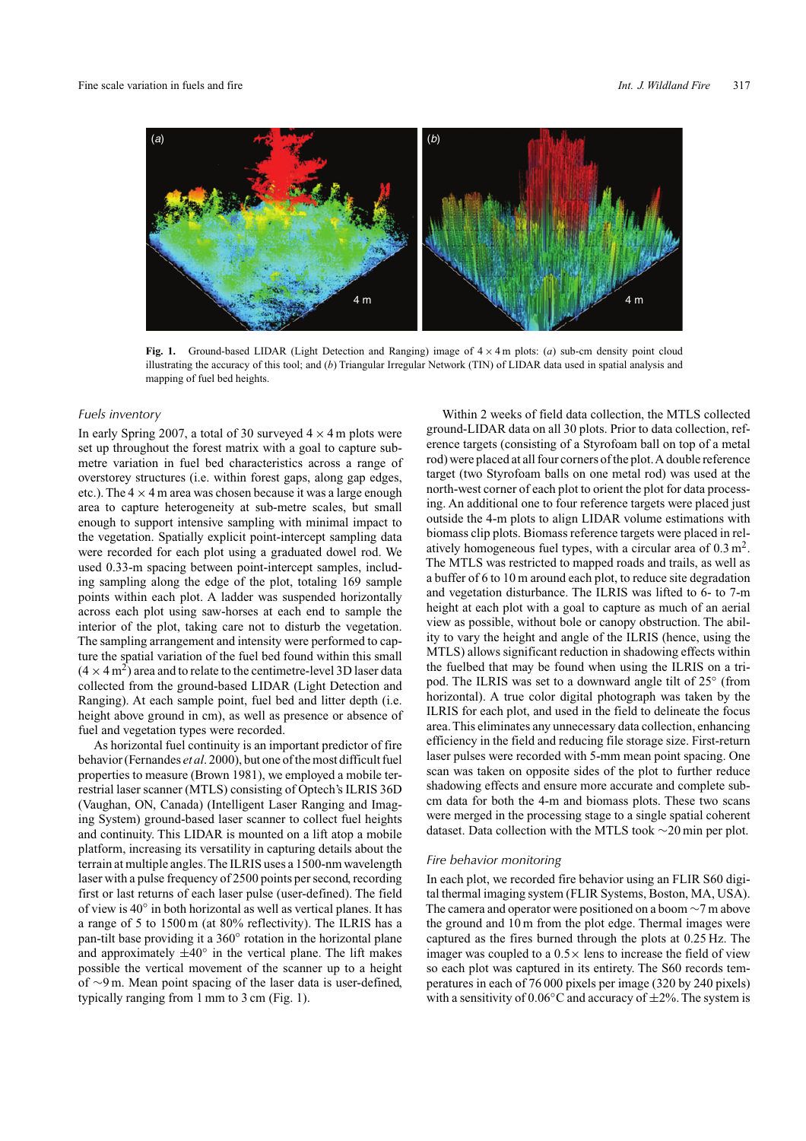

**Fig. 1.** Ground-based LIDAR (Light Detection and Ranging) image of  $4 \times 4$  m plots: (*a*) sub-cm density point cloud illustrating the accuracy of this tool; and (*b*) Triangular Irregular Network (TIN) of LIDAR data used in spatial analysis and mapping of fuel bed heights.

#### *Fuels inventory*

In early Spring 2007, a total of 30 surveyed  $4 \times 4$  m plots were set up throughout the forest matrix with a goal to capture submetre variation in fuel bed characteristics across a range of overstorey structures (i.e. within forest gaps, along gap edges, etc.). The  $4 \times 4$  m area was chosen because it was a large enough area to capture heterogeneity at sub-metre scales, but small enough to support intensive sampling with minimal impact to the vegetation. Spatially explicit point-intercept sampling data were recorded for each plot using a graduated dowel rod. We used 0.33-m spacing between point-intercept samples, including sampling along the edge of the plot, totaling 169 sample points within each plot. A ladder was suspended horizontally across each plot using saw-horses at each end to sample the interior of the plot, taking care not to disturb the vegetation. The sampling arrangement and intensity were performed to capture the spatial variation of the fuel bed found within this small  $(4 \times 4 \text{ m}^2)$  area and to relate to the centimetre-level 3D laser data collected from the ground-based LIDAR (Light Detection and Ranging). At each sample point, fuel bed and litter depth (i.e. height above ground in cm), as well as presence or absence of fuel and vegetation types were recorded.

As horizontal fuel continuity is an important predictor of fire behavior (Fernandes *et al*. 2000), but one of the most difficult fuel properties to measure (Brown 1981), we employed a mobile terrestrial laser scanner (MTLS) consisting of Optech's ILRIS 36D (Vaughan, ON, Canada) (Intelligent Laser Ranging and Imaging System) ground-based laser scanner to collect fuel heights and continuity. This LIDAR is mounted on a lift atop a mobile platform, increasing its versatility in capturing details about the terrain at multiple angles.The ILRIS uses a 1500-nm wavelength laser with a pulse frequency of 2500 points per second, recording first or last returns of each laser pulse (user-defined). The field of view is 40◦ in both horizontal as well as vertical planes. It has a range of 5 to 1500 m (at 80% reflectivity). The ILRIS has a pan-tilt base providing it a 360◦ rotation in the horizontal plane and approximately  $\pm 40^\circ$  in the vertical plane. The lift makes possible the vertical movement of the scanner up to a height of ∼9 m. Mean point spacing of the laser data is user-defined, typically ranging from 1 mm to 3 cm (Fig. 1).

Within 2 weeks of field data collection, the MTLS collected ground-LIDAR data on all 30 plots. Prior to data collection, reference targets (consisting of a Styrofoam ball on top of a metal rod) were placed at all four corners of the plot.A double reference target (two Styrofoam balls on one metal rod) was used at the north-west corner of each plot to orient the plot for data processing. An additional one to four reference targets were placed just outside the 4-m plots to align LIDAR volume estimations with biomass clip plots. Biomass reference targets were placed in relatively homogeneous fuel types, with a circular area of  $0.3 \text{ m}^2$ . The MTLS was restricted to mapped roads and trails, as well as a buffer of 6 to 10 m around each plot, to reduce site degradation and vegetation disturbance. The ILRIS was lifted to 6- to 7-m height at each plot with a goal to capture as much of an aerial view as possible, without bole or canopy obstruction. The ability to vary the height and angle of the ILRIS (hence, using the MTLS) allows significant reduction in shadowing effects within the fuelbed that may be found when using the ILRIS on a tripod. The ILRIS was set to a downward angle tilt of 25◦ (from horizontal). A true color digital photograph was taken by the ILRIS for each plot, and used in the field to delineate the focus area.This eliminates any unnecessary data collection, enhancing efficiency in the field and reducing file storage size. First-return laser pulses were recorded with 5-mm mean point spacing. One scan was taken on opposite sides of the plot to further reduce shadowing effects and ensure more accurate and complete subcm data for both the 4-m and biomass plots. These two scans were merged in the processing stage to a single spatial coherent dataset. Data collection with the MTLS took ∼20 min per plot.

### *Fire behavior monitoring*

In each plot, we recorded fire behavior using an FLIR S60 digital thermal imaging system (FLIR Systems, Boston, MA, USA). The camera and operator were positioned on a boom ∼7 m above the ground and 10 m from the plot edge. Thermal images were captured as the fires burned through the plots at 0.25 Hz. The imager was coupled to a  $0.5 \times$  lens to increase the field of view so each plot was captured in its entirety. The S60 records temperatures in each of 76 000 pixels per image (320 by 240 pixels) with a sensitivity of  $0.06\degree$ C and accuracy of  $\pm 2\%$ . The system is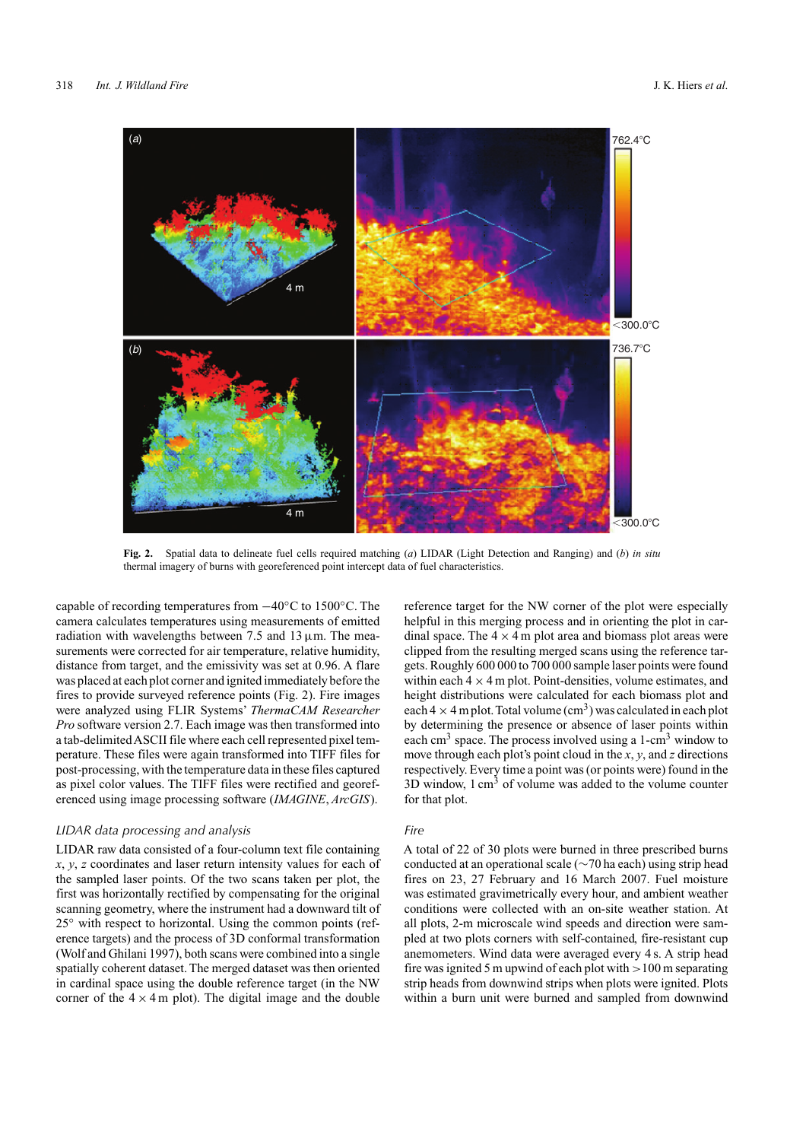

**Fig. 2.** Spatial data to delineate fuel cells required matching (*a*) LIDAR (Light Detection and Ranging) and (*b*) *in situ* thermal imagery of burns with georeferenced point intercept data of fuel characteristics.

capable of recording temperatures from −40◦C to 1500◦C. The camera calculates temperatures using measurements of emitted radiation with wavelengths between 7.5 and 13  $\mu$ m. The measurements were corrected for air temperature, relative humidity, distance from target, and the emissivity was set at 0.96. A flare was placed at each plot corner and ignited immediately before the fires to provide surveyed reference points (Fig. 2). Fire images were analyzed using FLIR Systems' *ThermaCAM Researcher Pro* software version 2.7. Each image was then transformed into a tab-delimitedASCII file where each cell represented pixel temperature. These files were again transformed into TIFF files for post-processing, with the temperature data in these files captured as pixel color values. The TIFF files were rectified and georeferenced using image processing software (*IMAGINE*, *ArcGIS*).

#### *LIDAR data processing and analysis*

LIDAR raw data consisted of a four-column text file containing *x*, *y*, *z* coordinates and laser return intensity values for each of the sampled laser points. Of the two scans taken per plot, the first was horizontally rectified by compensating for the original scanning geometry, where the instrument had a downward tilt of 25<sup>°</sup> with respect to horizontal. Using the common points (reference targets) and the process of 3D conformal transformation (Wolf and Ghilani 1997), both scans were combined into a single spatially coherent dataset. The merged dataset was then oriented in cardinal space using the double reference target (in the NW corner of the  $4 \times 4$  m plot). The digital image and the double reference target for the NW corner of the plot were especially helpful in this merging process and in orienting the plot in cardinal space. The  $4 \times 4$  m plot area and biomass plot areas were clipped from the resulting merged scans using the reference targets. Roughly 600 000 to 700 000 sample laser points were found within each  $4 \times 4$  m plot. Point-densities, volume estimates, and height distributions were calculated for each biomass plot and each  $4 \times 4$  m plot. Total volume (cm<sup>3</sup>) was calculated in each plot by determining the presence or absence of laser points within each cm<sup>3</sup> space. The process involved using a 1-cm<sup>3</sup> window to move through each plot's point cloud in the *x*, *y*, and *z* directions respectively. Every time a point was (or points were) found in the  $3D$  window, 1 cm<sup>3</sup> of volume was added to the volume counter for that plot.

### *Fire*

A total of 22 of 30 plots were burned in three prescribed burns conducted at an operational scale (∼70 ha each) using strip head fires on 23, 27 February and 16 March 2007. Fuel moisture was estimated gravimetrically every hour, and ambient weather conditions were collected with an on-site weather station. At all plots, 2-m microscale wind speeds and direction were sampled at two plots corners with self-contained, fire-resistant cup anemometers. Wind data were averaged every 4 s. A strip head fire was ignited 5 m upwind of each plot with *>*100 m separating strip heads from downwind strips when plots were ignited. Plots within a burn unit were burned and sampled from downwind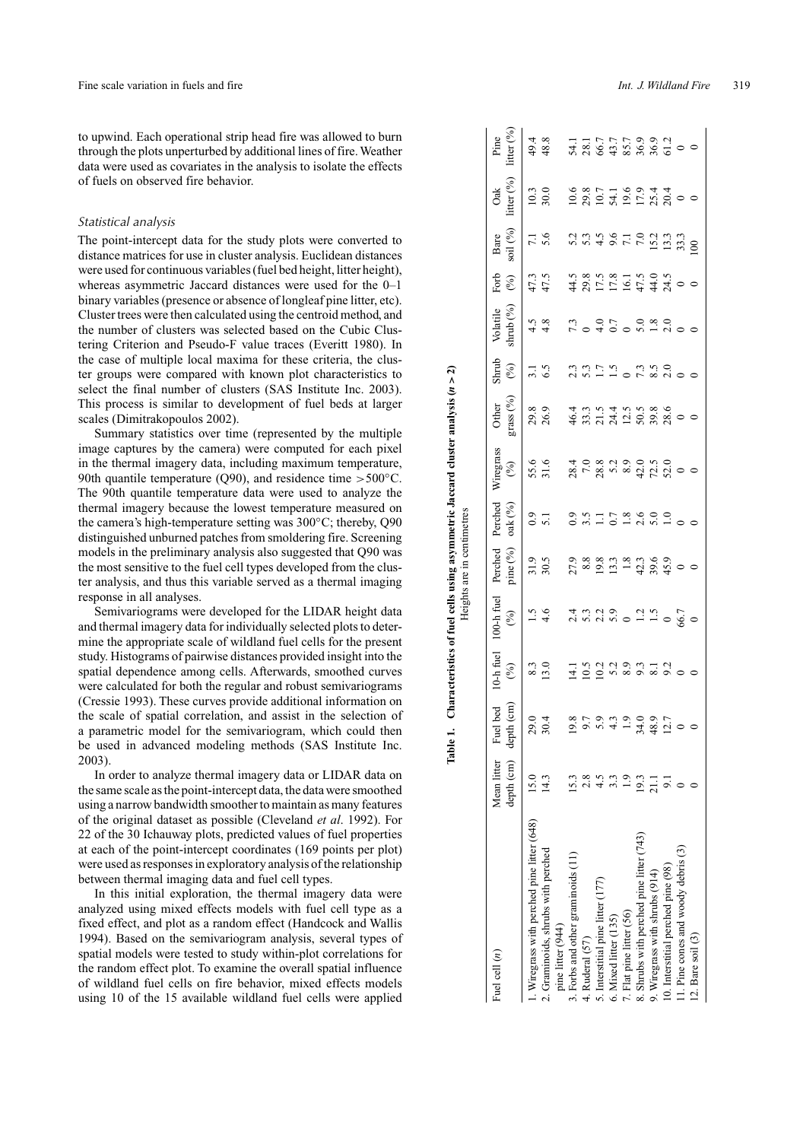to upwind. Each operational strip head fire was allowed to burn through the plots unperturbed by additional lines of fire. Weather data were used as covariates in the analysis to isolate the effects of fuels on observed fire behavior.

#### *Statistical analysis*

The point-intercept data for the study plots were converted to distance matrices for use in cluster analysis. Euclidean distances were used for continuous variables (fuel bed height, litter height), whereas asymmetric Jaccard distances were used for the 0–1 binary variables (presence or absence of longleaf pine litter, etc). Cluster trees were then calculated using the centroid method, and the number of clusters was selected based on the Cubic Clustering Criterion and Pseudo-F value traces (Everitt 1980). In the case of multiple local maxima for these criteria, the cluster groups were compared with known plot characteristics to select the final number of clusters (SAS Institute Inc. 2003). This process is similar to development of fuel beds at larger scales (Dimitrakopoulos 2002).

Summary statistics over time (represented by the multiple image captures by the camera) were computed for each pixel in the thermal imagery data, including maximum temperature, 90th quantile temperature (Q90), and residence time *>*500◦C. The 90th quantile temperature data were used to analyze the thermal imagery because the lowest temperature measured on the camera's high-temperature setting was 300◦C; thereby, Q90 distinguished unburned patches from smoldering fire. Screening models in the preliminary analysis also suggested that Q90 was the most sensitive to the fuel cell types developed from the cluster analysis, and thus this variable served as a thermal imaging response in all analyses.

Semivariograms were developed for the LIDAR height data and thermal imagery data for individually selected plots to determine the appropriate scale of wildland fuel cells for the present study. Histograms of pairwise distances provided insight into the spatial dependence among cells. Afterwards, smoothed curves were calculated for both the regular and robust semivariograms (Cressie 1993). These curves provide additional information on the scale of spatial correlation, and assist in the selection of a parametric model for the semivariogram, which could then be used in advanced modeling methods (SAS Institute Inc. 2003).

In order to analyze thermal imagery data or LIDAR data on the same scale as the point-intercept data, the data were smoothed using a narrow bandwidth smoother to maintain as many features of the original dataset as possible (Cleveland *et al*. 1992). For 22 of the 30 Ichauway plots, predicted values of fuel properties at each of the point-intercept coordinates (169 points per plot) were used as responses in exploratory analysis of the relationship between thermal imaging data and fuel cell types.

In this initial exploration, the thermal imagery data were analyzed using mixed effects models with fuel cell type as a fixed effect, and plot as a random effect (Handcock and Wallis 1994). Based on the semivariogram analysis, several types of spatial models were tested to study within-plot correlations for the random effect plot. To examine the overall spatial influence of wildland fuel cells on fire behavior, mixed effects models using 10 of the 15 available wildland fuel cells were applied

|                                                         |                                      |                           |                                                                                                                                                                                                                               |                               | Heights are in centimetres        |                                                                                |                  |                                                                                                 |                                                     |                                                                             |                                                |                                 |                      |                       |
|---------------------------------------------------------|--------------------------------------|---------------------------|-------------------------------------------------------------------------------------------------------------------------------------------------------------------------------------------------------------------------------|-------------------------------|-----------------------------------|--------------------------------------------------------------------------------|------------------|-------------------------------------------------------------------------------------------------|-----------------------------------------------------|-----------------------------------------------------------------------------|------------------------------------------------|---------------------------------|----------------------|-----------------------|
| Fuel cell $(n)$                                         | Mean litter Fuel<br>depth (cm) depth | $\binom{m}{n}$<br>bed     | $10-h$ fuel<br>(%)                                                                                                                                                                                                            | $100-h$ fuel<br>$\mathcal{E}$ | Perched<br>pine $(^{0}\!/_{\!0})$ | Perched<br>$\mathrm{oak}\left(\begin{smallmatrix}0\\1\end{smallmatrix}\right)$ | Wiregrass<br>(%) | grass (%)<br>Other                                                                              | Shrub<br>(%)                                        | shrub $(^{0\hspace{-0.1cm}/\hspace{-0.1cm}/\hspace{-0.1cm}}_0)$<br>Volatile | Forb<br>(%)                                    | soil $(\%)$<br>Bare             | litter $(\%)$<br>Oak | itter $(\%$ ,<br>Pine |
| . Wiregrass with perched pine litter (648)              | 15.0                                 | Q<br>29                   |                                                                                                                                                                                                                               |                               | 31.9                              |                                                                                |                  |                                                                                                 | 3.1                                                 | $4.3$<br>$4.8$                                                              | 47.5<br>47.5                                   |                                 |                      |                       |
| 2. Graminoids, shrubs with perched<br>pine litter (944) |                                      | 4                         | $\begin{array}{c} 8.3 \\ 13.0 \end{array}$                                                                                                                                                                                    | $1.5$<br>4.6                  |                                   | 0.9                                                                            | 55.6<br>31.6     | 29.8<br>26.9                                                                                    |                                                     |                                                                             |                                                | $7.1$<br>5.6                    | $\frac{10.3}{30.0}$  | 49.8<br>48.8          |
| 3. Forbs and other graminoids (11)                      |                                      | $\infty$<br>$\Xi$         |                                                                                                                                                                                                                               |                               |                                   |                                                                                |                  |                                                                                                 |                                                     |                                                                             |                                                |                                 |                      |                       |
| 4. Ruderal (57)                                         | 2.8                                  | $\sum$                    | $1.5$ $2.3$ $3.3$ $3.5$ $3.5$ $3.5$ $3.5$ $3.5$ $3.5$ $3.5$ $3.5$ $3.5$ $3.5$ $3.5$ $3.5$ $3.5$ $3.5$ $3.5$ $3.5$ $3.5$ $3.5$ $3.5$ $3.5$ $3.5$ $3.5$ $3.5$ $3.5$ $3.5$ $3.5$ $3.5$ $3.5$ $3.5$ $3.5$ $3.5$ $3.5$ $3.5$ $3.5$ |                               | $2,888378369$<br>$2,8037969$      |                                                                                |                  | $4\ddot{5}$ $3\ddot{7}$ $3\ddot{7}$ $4\ddot{7}$ $3\ddot{7}$ $3\ddot{8}$ $3\ddot{8}$ $3\ddot{9}$ | $7.775$<br>$7.710$<br>$7.700$<br>$7.700$<br>$7.700$ | 10400 nd 20                                                                 | 4 8 5 5 5 5 4 4 9 0 0<br>4 9 5 5 5 5 4 4 9 0 0 |                                 |                      |                       |
| 5. Interstitial pine litter (177)                       |                                      | $\circ$                   |                                                                                                                                                                                                                               |                               |                                   |                                                                                |                  |                                                                                                 |                                                     |                                                                             |                                                |                                 |                      |                       |
| 6. Mixed litter (135)                                   |                                      | $\omega$                  |                                                                                                                                                                                                                               |                               |                                   |                                                                                |                  |                                                                                                 |                                                     |                                                                             |                                                |                                 |                      |                       |
| Flat pine litter (56)                                   |                                      | $1.9$<br>$7.48$<br>$12.7$ |                                                                                                                                                                                                                               |                               |                                   |                                                                                |                  |                                                                                                 |                                                     |                                                                             |                                                |                                 |                      |                       |
| 8. Shrubs with perched pine litter (743)                | <u>io:</u>                           |                           |                                                                                                                                                                                                                               |                               |                                   |                                                                                |                  |                                                                                                 |                                                     |                                                                             |                                                |                                 |                      |                       |
| 9. Wiregrass with shrubs (914)                          | $\overline{21}$                      |                           |                                                                                                                                                                                                                               |                               |                                   |                                                                                |                  |                                                                                                 |                                                     |                                                                             |                                                |                                 |                      |                       |
| 10. Interstitial perched pine (98)                      |                                      |                           |                                                                                                                                                                                                                               |                               |                                   |                                                                                |                  |                                                                                                 |                                                     |                                                                             |                                                | $15.3$<br>$13.3$<br>$30$<br>$0$ |                      |                       |
| 11. Pine cones and woody debris (3)                     |                                      |                           |                                                                                                                                                                                                                               |                               |                                   |                                                                                |                  |                                                                                                 |                                                     |                                                                             |                                                |                                 |                      |                       |
| 12. Bare soil (3)                                       |                                      |                           |                                                                                                                                                                                                                               |                               |                                   |                                                                                |                  |                                                                                                 |                                                     |                                                                             |                                                |                                 |                      | $\circ$               |
|                                                         |                                      |                           |                                                                                                                                                                                                                               |                               |                                   |                                                                                |                  |                                                                                                 |                                                     |                                                                             |                                                |                                 |                      |                       |

Table 1. Characteristics of fuel cells using asymmetric Jaccard cluster analysis  $(n > 2)$ 

Table 1. Characteristics of fuel cells using asymmetric Jaccard cluster analysis  $(n > 2)$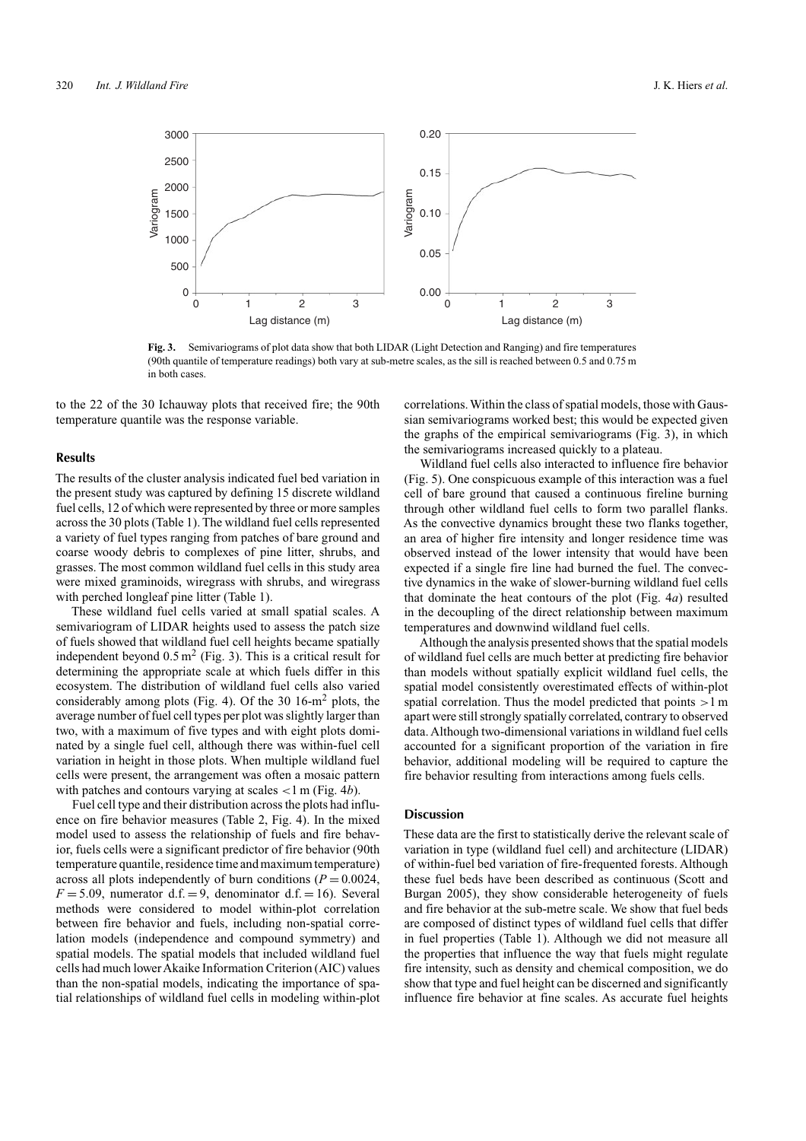

**Fig. 3.** Semivariograms of plot data show that both LIDAR (Light Detection and Ranging) and fire temperatures (90th quantile of temperature readings) both vary at sub-metre scales, as the sill is reached between 0.5 and 0.75 m in both cases.

to the 22 of the 30 Ichauway plots that received fire; the 90th temperature quantile was the response variable.

#### **Results**

The results of the cluster analysis indicated fuel bed variation in the present study was captured by defining 15 discrete wildland fuel cells, 12 of which were represented by three or more samples across the 30 plots (Table 1). The wildland fuel cells represented a variety of fuel types ranging from patches of bare ground and coarse woody debris to complexes of pine litter, shrubs, and grasses. The most common wildland fuel cells in this study area were mixed graminoids, wiregrass with shrubs, and wiregrass with perched longleaf pine litter (Table 1).

These wildland fuel cells varied at small spatial scales. A semivariogram of LIDAR heights used to assess the patch size of fuels showed that wildland fuel cell heights became spatially independent beyond  $0.5 \text{ m}^2$  (Fig. 3). This is a critical result for determining the appropriate scale at which fuels differ in this ecosystem. The distribution of wildland fuel cells also varied considerably among plots (Fig. 4). Of the 30 16-m<sup>2</sup> plots, the average number of fuel cell types per plot was slightly larger than two, with a maximum of five types and with eight plots dominated by a single fuel cell, although there was within-fuel cell variation in height in those plots. When multiple wildland fuel cells were present, the arrangement was often a mosaic pattern with patches and contours varying at scales *<*1 m (Fig. 4*b*).

Fuel cell type and their distribution across the plots had influence on fire behavior measures (Table 2, Fig. 4). In the mixed model used to assess the relationship of fuels and fire behavior, fuels cells were a significant predictor of fire behavior (90th temperature quantile, residence time and maximum temperature) across all plots independently of burn conditions  $(P = 0.0024$ ,  $F = 5.09$ , numerator d.f. = 9, denominator d.f. = 16). Several methods were considered to model within-plot correlation between fire behavior and fuels, including non-spatial correlation models (independence and compound symmetry) and spatial models. The spatial models that included wildland fuel cells had much lowerAkaike Information Criterion (AIC) values than the non-spatial models, indicating the importance of spatial relationships of wildland fuel cells in modeling within-plot correlations. Within the class of spatial models, those with Gaussian semivariograms worked best; this would be expected given the graphs of the empirical semivariograms (Fig. 3), in which the semivariograms increased quickly to a plateau.

Wildland fuel cells also interacted to influence fire behavior (Fig. 5). One conspicuous example of this interaction was a fuel cell of bare ground that caused a continuous fireline burning through other wildland fuel cells to form two parallel flanks. As the convective dynamics brought these two flanks together, an area of higher fire intensity and longer residence time was observed instead of the lower intensity that would have been expected if a single fire line had burned the fuel. The convective dynamics in the wake of slower-burning wildland fuel cells that dominate the heat contours of the plot (Fig. 4*a*) resulted in the decoupling of the direct relationship between maximum temperatures and downwind wildland fuel cells.

Although the analysis presented shows that the spatial models of wildland fuel cells are much better at predicting fire behavior than models without spatially explicit wildland fuel cells, the spatial model consistently overestimated effects of within-plot spatial correlation. Thus the model predicted that points *>*1 m apart were still strongly spatially correlated, contrary to observed data. Although two-dimensional variations in wildland fuel cells accounted for a significant proportion of the variation in fire behavior, additional modeling will be required to capture the fire behavior resulting from interactions among fuels cells.

#### **Discussion**

These data are the first to statistically derive the relevant scale of variation in type (wildland fuel cell) and architecture (LIDAR) of within-fuel bed variation of fire-frequented forests. Although these fuel beds have been described as continuous (Scott and Burgan 2005), they show considerable heterogeneity of fuels and fire behavior at the sub-metre scale. We show that fuel beds are composed of distinct types of wildland fuel cells that differ in fuel properties (Table 1). Although we did not measure all the properties that influence the way that fuels might regulate fire intensity, such as density and chemical composition, we do show that type and fuel height can be discerned and significantly influence fire behavior at fine scales. As accurate fuel heights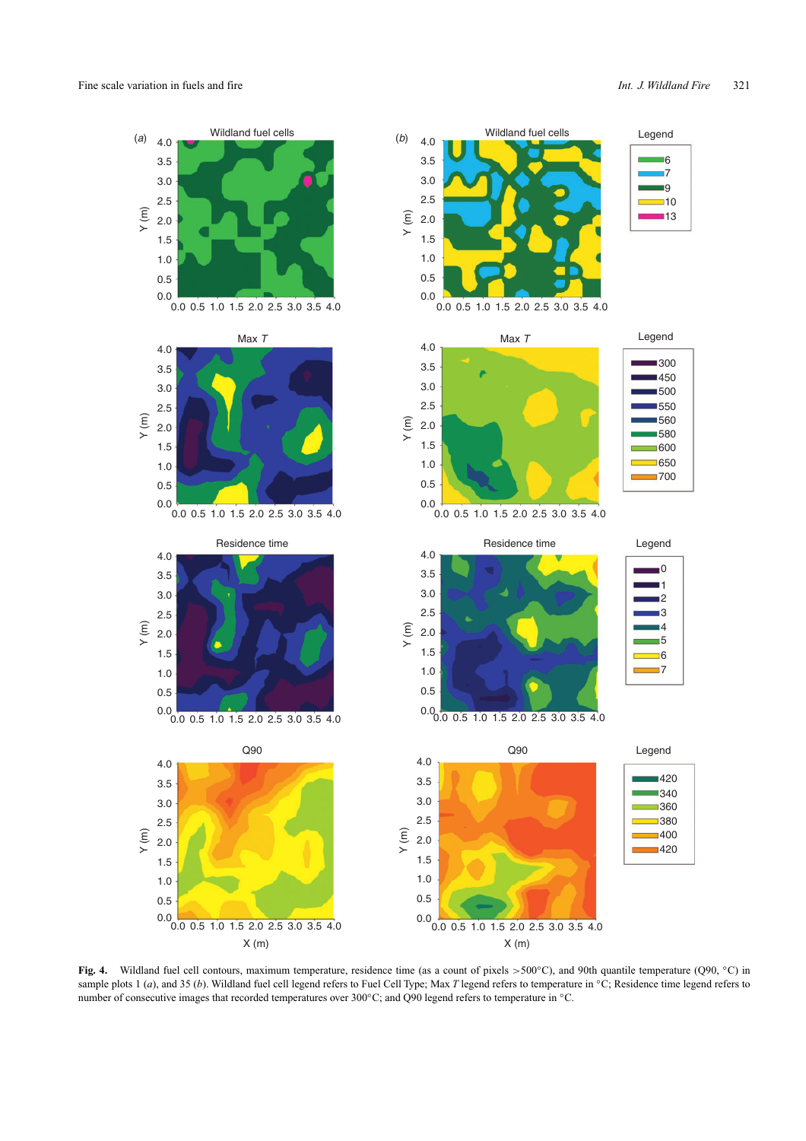

**Fig. 4.** Wildland fuel cell contours, maximum temperature, residence time (as a count of pixels *>*500◦C), and 90th quantile temperature (Q90, ◦C) in sample plots 1 (*a*), and 35 (*b*). Wildland fuel cell legend refers to Fuel Cell Type; Max *T* legend refers to temperature in ℃; Residence time legend refers to number of consecutive images that recorded temperatures over 300℃; and Q90 legend refers to temperature in °C.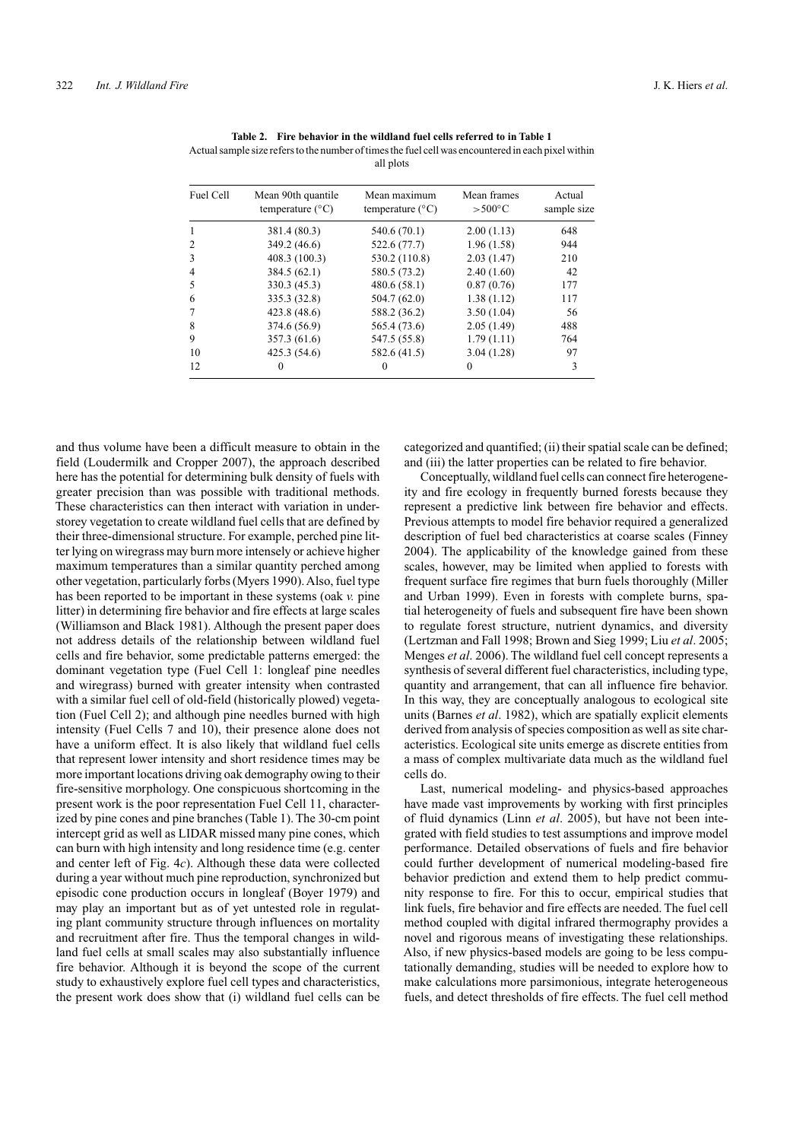| Fuel Cell | Mean 90th quantile<br>temperature $(^{\circ}C)$ | Mean maximum<br>temperature $(^{\circ}C)$ | Mean frames<br>$> 500^{\circ}$ C | Actual<br>sample size |
|-----------|-------------------------------------------------|-------------------------------------------|----------------------------------|-----------------------|
| 1         | 381.4 (80.3)                                    | 540.6 (70.1)                              | 2.00(1.13)                       | 648                   |
| 2         | 349.2 (46.6)                                    | 522.6 (77.7)                              | 1.96(1.58)                       | 944                   |
| 3         | 408.3 (100.3)                                   | 530.2 (110.8)                             | 2.03(1.47)                       | 210                   |
| 4         | 384.5(62.1)                                     | 580.5 (73.2)                              | 2.40(1.60)                       | 42                    |
| 5         | 330.3(45.3)                                     | 480.6(58.1)                               | 0.87(0.76)                       | 177                   |
| 6         | 335.3 (32.8)                                    | 504.7(62.0)                               | 1.38(1.12)                       | 117                   |
| 7         | 423.8(48.6)                                     | 588.2 (36.2)                              | 3.50(1.04)                       | 56                    |
| 8         | 374.6 (56.9)                                    | 565.4 (73.6)                              | 2.05(1.49)                       | 488                   |
| 9         | 357.3 (61.6)                                    | 547.5 (55.8)                              | 1.79(1.11)                       | 764                   |
| 10        | 425.3(54.6)                                     | 582.6 (41.5)                              | 3.04(1.28)                       | 97                    |
| 12        | $\Omega$                                        | 0                                         | $\theta$                         | 3                     |

| Table 2. Fire behavior in the wildland fuel cells referred to in Table 1                            |
|-----------------------------------------------------------------------------------------------------|
| Actual sample size refers to the number of times the fuel cell was encountered in each pixel within |
| all plots                                                                                           |

and thus volume have been a difficult measure to obtain in the field (Loudermilk and Cropper 2007), the approach described here has the potential for determining bulk density of fuels with greater precision than was possible with traditional methods. These characteristics can then interact with variation in understorey vegetation to create wildland fuel cells that are defined by their three-dimensional structure. For example, perched pine litter lying on wiregrass may burn more intensely or achieve higher maximum temperatures than a similar quantity perched among other vegetation, particularly forbs (Myers 1990).Also, fuel type has been reported to be important in these systems (oak *v.* pine litter) in determining fire behavior and fire effects at large scales (Williamson and Black 1981). Although the present paper does not address details of the relationship between wildland fuel cells and fire behavior, some predictable patterns emerged: the dominant vegetation type (Fuel Cell 1: longleaf pine needles and wiregrass) burned with greater intensity when contrasted with a similar fuel cell of old-field (historically plowed) vegetation (Fuel Cell 2); and although pine needles burned with high intensity (Fuel Cells 7 and 10), their presence alone does not have a uniform effect. It is also likely that wildland fuel cells that represent lower intensity and short residence times may be more important locations driving oak demography owing to their fire-sensitive morphology. One conspicuous shortcoming in the present work is the poor representation Fuel Cell 11, characterized by pine cones and pine branches (Table 1). The 30-cm point intercept grid as well as LIDAR missed many pine cones, which can burn with high intensity and long residence time (e.g. center and center left of Fig. 4*c*). Although these data were collected during a year without much pine reproduction, synchronized but episodic cone production occurs in longleaf (Boyer 1979) and may play an important but as of yet untested role in regulating plant community structure through influences on mortality and recruitment after fire. Thus the temporal changes in wildland fuel cells at small scales may also substantially influence fire behavior. Although it is beyond the scope of the current study to exhaustively explore fuel cell types and characteristics, the present work does show that (i) wildland fuel cells can be categorized and quantified; (ii) their spatial scale can be defined; and (iii) the latter properties can be related to fire behavior.

Conceptually, wildland fuel cells can connect fire heterogeneity and fire ecology in frequently burned forests because they represent a predictive link between fire behavior and effects. Previous attempts to model fire behavior required a generalized description of fuel bed characteristics at coarse scales (Finney 2004). The applicability of the knowledge gained from these scales, however, may be limited when applied to forests with frequent surface fire regimes that burn fuels thoroughly (Miller and Urban 1999). Even in forests with complete burns, spatial heterogeneity of fuels and subsequent fire have been shown to regulate forest structure, nutrient dynamics, and diversity (Lertzman and Fall 1998; Brown and Sieg 1999; Liu *et al*. 2005; Menges *et al*. 2006). The wildland fuel cell concept represents a synthesis of several different fuel characteristics, including type, quantity and arrangement, that can all influence fire behavior. In this way, they are conceptually analogous to ecological site units (Barnes *et al*. 1982), which are spatially explicit elements derived from analysis of species composition as well as site characteristics. Ecological site units emerge as discrete entities from a mass of complex multivariate data much as the wildland fuel cells do.

Last, numerical modeling- and physics-based approaches have made vast improvements by working with first principles of fluid dynamics (Linn *et al*. 2005), but have not been integrated with field studies to test assumptions and improve model performance. Detailed observations of fuels and fire behavior could further development of numerical modeling-based fire behavior prediction and extend them to help predict community response to fire. For this to occur, empirical studies that link fuels, fire behavior and fire effects are needed. The fuel cell method coupled with digital infrared thermography provides a novel and rigorous means of investigating these relationships. Also, if new physics-based models are going to be less computationally demanding, studies will be needed to explore how to make calculations more parsimonious, integrate heterogeneous fuels, and detect thresholds of fire effects. The fuel cell method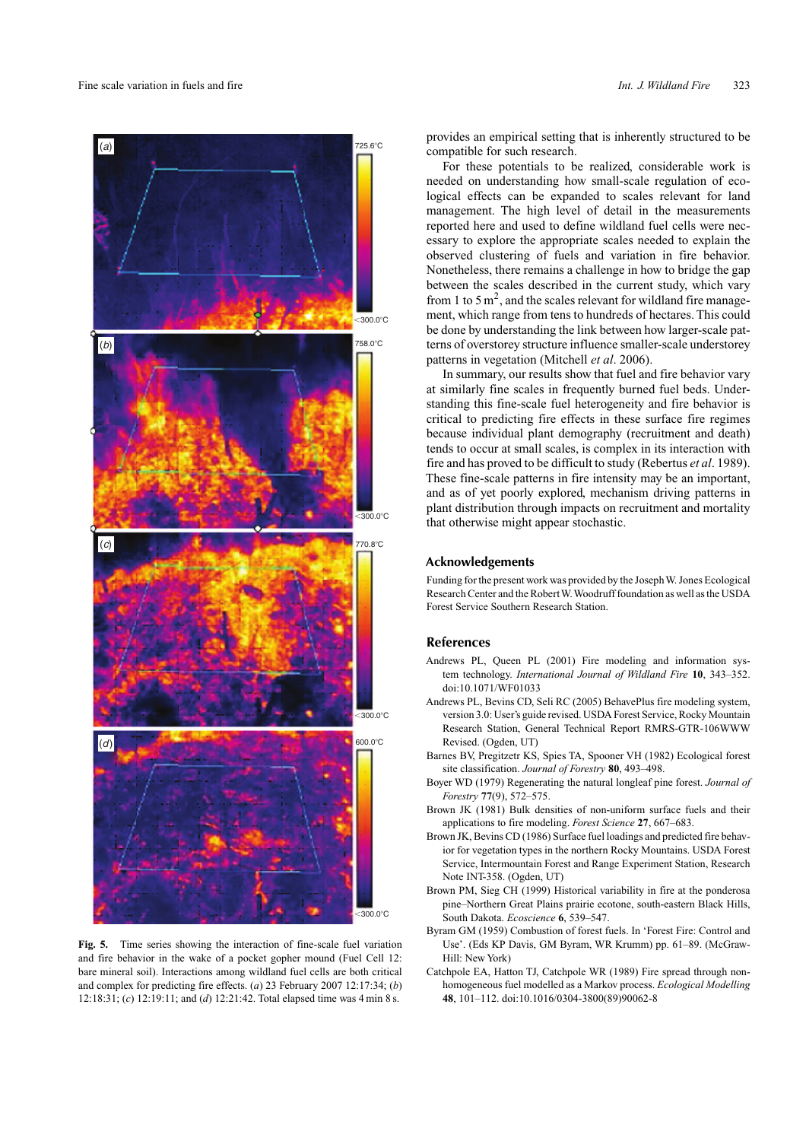

**Fig. 5.** Time series showing the interaction of fine-scale fuel variation and fire behavior in the wake of a pocket gopher mound (Fuel Cell 12: bare mineral soil). Interactions among wildland fuel cells are both critical and complex for predicting fire effects. (*a*) 23 February 2007 12:17:34; (*b*) 12:18:31; (*c*) 12:19:11; and (*d*) 12:21:42. Total elapsed time was 4 min 8 s.

provides an empirical setting that is inherently structured to be compatible for such research.

For these potentials to be realized, considerable work is needed on understanding how small-scale regulation of ecological effects can be expanded to scales relevant for land management. The high level of detail in the measurements reported here and used to define wildland fuel cells were necessary to explore the appropriate scales needed to explain the observed clustering of fuels and variation in fire behavior. Nonetheless, there remains a challenge in how to bridge the gap between the scales described in the current study, which vary from 1 to 5  $\text{m}^2$ , and the scales relevant for wildland fire management, which range from tens to hundreds of hectares. This could be done by understanding the link between how larger-scale patterns of overstorey structure influence smaller-scale understorey patterns in vegetation (Mitchell *et al*. 2006).

In summary, our results show that fuel and fire behavior vary at similarly fine scales in frequently burned fuel beds. Understanding this fine-scale fuel heterogeneity and fire behavior is critical to predicting fire effects in these surface fire regimes because individual plant demography (recruitment and death) tends to occur at small scales, is complex in its interaction with fire and has proved to be difficult to study (Rebertus *et al*. 1989). These fine-scale patterns in fire intensity may be an important, and as of yet poorly explored, mechanism driving patterns in plant distribution through impacts on recruitment and mortality that otherwise might appear stochastic.

#### **Acknowledgements**

Funding for the present work was provided by the Joseph W. Jones Ecological Research Center and the RobertW.Woodruff foundation as well as the USDA Forest Service Southern Research Station.

#### **References**

- Andrews PL, Queen PL (2001) Fire modeling and information system technology. *International Journal of Wildland Fire* **10**, 343–352. doi:10.1071/WF01033
- Andrews PL, Bevins CD, Seli RC (2005) BehavePlus fire modeling system, version 3.0: User's guide revised. USDA Forest Service, Rocky Mountain Research Station, General Technical Report RMRS-GTR-106WWW Revised. (Ogden, UT)
- Barnes BV, Pregitzetr KS, Spies TA, Spooner VH (1982) Ecological forest site classification. *Journal of Forestry* **80**, 493–498.
- Boyer WD (1979) Regenerating the natural longleaf pine forest. *Journal of Forestry* **77**(9), 572–575.
- Brown JK (1981) Bulk densities of non-uniform surface fuels and their applications to fire modeling. *Forest Science* **27**, 667–683.
- Brown JK, Bevins CD (1986) Surface fuel loadings and predicted fire behavior for vegetation types in the northern Rocky Mountains. USDA Forest Service, Intermountain Forest and Range Experiment Station, Research Note INT-358. (Ogden, UT)
- Brown PM, Sieg CH (1999) Historical variability in fire at the ponderosa pine–Northern Great Plains prairie ecotone, south-eastern Black Hills, South Dakota. *Ecoscience* **6**, 539–547.
- Byram GM (1959) Combustion of forest fuels. In 'Forest Fire: Control and Use'. (Eds KP Davis, GM Byram, WR Krumm) pp. 61–89. (McGraw-Hill: New York)
- Catchpole EA, Hatton TJ, Catchpole WR (1989) Fire spread through nonhomogeneous fuel modelled as a Markov process. *Ecological Modelling* **48**, 101–112. doi:10.1016/0304-3800(89)90062-8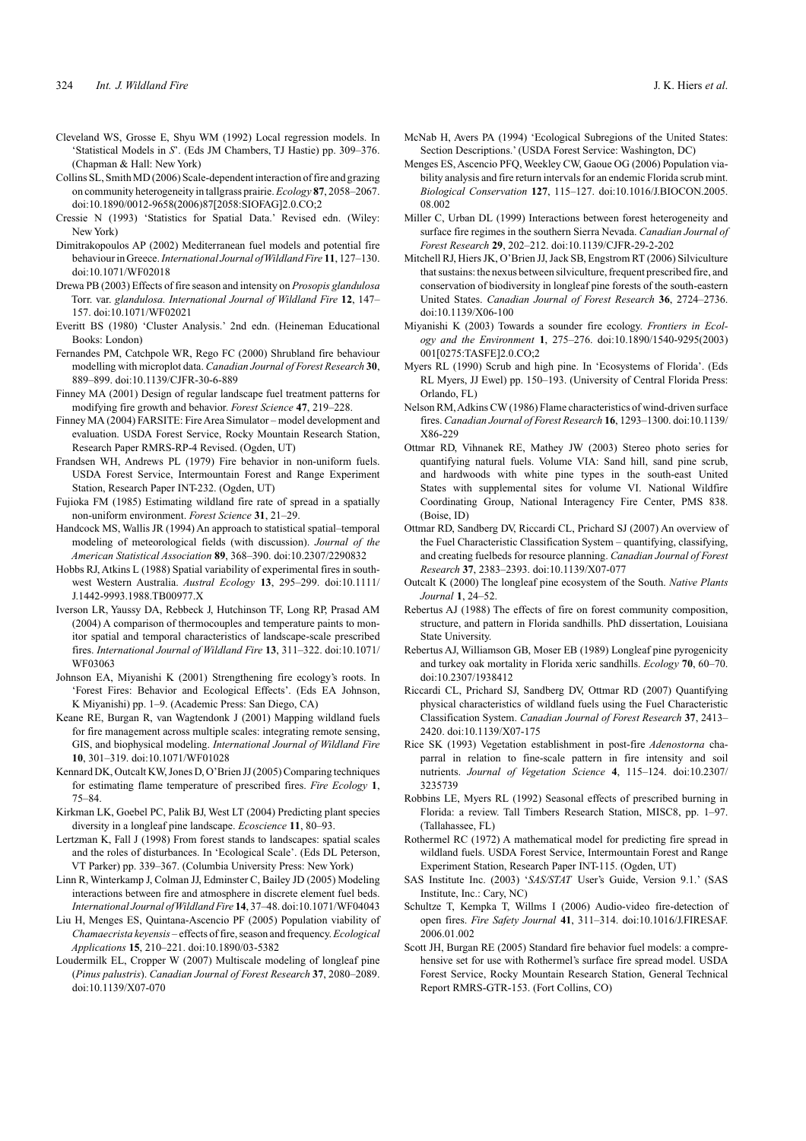- Cleveland WS, Grosse E, Shyu WM (1992) Local regression models. In 'Statistical Models in *S*'. (Eds JM Chambers, TJ Hastie) pp. 309–376. (Chapman & Hall: New York)
- Collins SL, Smith MD (2006) Scale-dependent interaction of fire and grazing on community heterogeneity in tallgrass prairie. *Ecology* **87**, 2058–2067. doi:10.1890/0012-9658(2006)87[2058:SIOFAG]2.0.CO;2
- Cressie N (1993) 'Statistics for Spatial Data.' Revised edn. (Wiley: New York)

Dimitrakopoulos AP (2002) Mediterranean fuel models and potential fire behaviour in Greece.*International Journal ofWildland Fire* **11**, 127–130. doi:10.1071/WF02018

Drewa PB (2003) Effects of fire season and intensity on *Prosopis glandulosa* Torr. var. *glandulosa. International Journal of Wildland Fire* **12**, 147– 157. doi:10.1071/WF02021

Everitt BS (1980) 'Cluster Analysis.' 2nd edn. (Heineman Educational Books: London)

Fernandes PM, Catchpole WR, Rego FC (2000) Shrubland fire behaviour modelling with microplot data. *Canadian Journal of Forest Research* **30**, 889–899. doi:10.1139/CJFR-30-6-889

Finney MA (2001) Design of regular landscape fuel treatment patterns for modifying fire growth and behavior. *Forest Science* **47**, 219–228.

Finney MA (2004) FARSITE: FireArea Simulator – model development and evaluation. USDA Forest Service, Rocky Mountain Research Station, Research Paper RMRS-RP-4 Revised. (Ogden, UT)

Frandsen WH, Andrews PL (1979) Fire behavior in non-uniform fuels. USDA Forest Service, Intermountain Forest and Range Experiment Station, Research Paper INT-232. (Ogden, UT)

Fujioka FM (1985) Estimating wildland fire rate of spread in a spatially non-uniform environment. *Forest Science* **31**, 21–29.

Handcock MS, Wallis JR (1994) An approach to statistical spatial–temporal modeling of meteorological fields (with discussion). *Journal of the American Statistical Association* **89**, 368–390. doi:10.2307/2290832

Hobbs RJ, Atkins L (1988) Spatial variability of experimental fires in southwest Western Australia. *Austral Ecology* **13**, 295–299. doi:10.1111/ J.1442-9993.1988.TB00977.X

Iverson LR, Yaussy DA, Rebbeck J, Hutchinson TF, Long RP, Prasad AM (2004) A comparison of thermocouples and temperature paints to monitor spatial and temporal characteristics of landscape-scale prescribed fires. *International Journal of Wildland Fire* **13**, 311–322. doi:10.1071/ WF03063

Johnson EA, Miyanishi K (2001) Strengthening fire ecology's roots. In 'Forest Fires: Behavior and Ecological Effects'. (Eds EA Johnson, K Miyanishi) pp. 1–9. (Academic Press: San Diego, CA)

Keane RE, Burgan R, van Wagtendonk J (2001) Mapping wildland fuels for fire management across multiple scales: integrating remote sensing, GIS, and biophysical modeling. *International Journal of Wildland Fire* **10**, 301–319. doi:10.1071/WF01028

Kennard DK, Outcalt KW, Jones D, O'Brien JJ (2005) Comparing techniques for estimating flame temperature of prescribed fires. *Fire Ecology* **1**, 75–84.

Kirkman LK, Goebel PC, Palik BJ, West LT (2004) Predicting plant species diversity in a longleaf pine landscape. *Ecoscience* **11**, 80–93.

Lertzman K, Fall J (1998) From forest stands to landscapes: spatial scales and the roles of disturbances. In 'Ecological Scale'. (Eds DL Peterson, VT Parker) pp. 339–367. (Columbia University Press: New York)

Linn R, Winterkamp J, Colman JJ, Edminster C, Bailey JD (2005) Modeling interactions between fire and atmosphere in discrete element fuel beds. *International Journal ofWildland Fire* **14**, 37–48. doi:10.1071/WF04043

Liu H, Menges ES, Quintana-Ascencio PF (2005) Population viability of *Chamaecrista keyensis* – effects of fire, season and frequency. *Ecological Applications* **15**, 210–221. doi:10.1890/03-5382

Loudermilk EL, Cropper W (2007) Multiscale modeling of longleaf pine (*Pinus palustris*). *Canadian Journal of Forest Research* **37**, 2080–2089. doi:10.1139/X07-070

McNab H, Avers PA (1994) 'Ecological Subregions of the United States: Section Descriptions.' (USDA Forest Service: Washington, DC)

Menges ES, Ascencio PFQ, Weekley CW, Gaoue OG (2006) Population viability analysis and fire return intervals for an endemic Florida scrub mint. *Biological Conservation* **127**, 115–127. doi:10.1016/J.BIOCON.2005. 08.002

Miller C, Urban DL (1999) Interactions between forest heterogeneity and surface fire regimes in the southern Sierra Nevada. *Canadian Journal of Forest Research* **29**, 202–212. doi:10.1139/CJFR-29-2-202

Mitchell RJ, Hiers JK, O'Brien JJ, Jack SB, Engstrom RT (2006) Silviculture that sustains: the nexus between silviculture, frequent prescribed fire, and conservation of biodiversity in longleaf pine forests of the south-eastern United States. *Canadian Journal of Forest Research* **36**, 2724–2736. doi:10.1139/X06-100

Miyanishi K (2003) Towards a sounder fire ecology. *Frontiers in Ecology and the Environment* **1**, 275–276. doi:10.1890/1540-9295(2003) 001[0275:TASFE]2.0.CO;2

Myers RL (1990) Scrub and high pine. In 'Ecosystems of Florida'. (Eds RL Myers, JJ Ewel) pp. 150–193. (University of Central Florida Press: Orlando, FL)

Nelson RM,Adkins CW (1986) Flame characteristics of wind-driven surface fires. *Canadian Journal of Forest Research* **16**, 1293–1300. doi:10.1139/ X86-229

Ottmar RD, Vihnanek RE, Mathey JW (2003) Stereo photo series for quantifying natural fuels. Volume VIA: Sand hill, sand pine scrub, and hardwoods with white pine types in the south-east United States with supplemental sites for volume VI. National Wildfire Coordinating Group, National Interagency Fire Center, PMS 838. (Boise, ID)

Ottmar RD, Sandberg DV, Riccardi CL, Prichard SJ (2007) An overview of the Fuel Characteristic Classification System – quantifying, classifying, and creating fuelbeds for resource planning. *Canadian Journal of Forest Research* **37**, 2383–2393. doi:10.1139/X07-077

Outcalt K (2000) The longleaf pine ecosystem of the South. *Native Plants Journal* **1**, 24–52.

Rebertus AJ (1988) The effects of fire on forest community composition, structure, and pattern in Florida sandhills. PhD dissertation, Louisiana State University.

Rebertus AJ, Williamson GB, Moser EB (1989) Longleaf pine pyrogenicity and turkey oak mortality in Florida xeric sandhills. *Ecology* **70**, 60–70. doi:10.2307/1938412

Riccardi CL, Prichard SJ, Sandberg DV, Ottmar RD (2007) Quantifying physical characteristics of wildland fuels using the Fuel Characteristic Classification System. *Canadian Journal of Forest Research* **37**, 2413– 2420. doi:10.1139/X07-175

Rice SK (1993) Vegetation establishment in post-fire *Adenostorna* chaparral in relation to fine-scale pattern in fire intensity and soil nutrients. *Journal of Vegetation Science* **4**, 115–124. doi:10.2307/ 3235739

Robbins LE, Myers RL (1992) Seasonal effects of prescribed burning in Florida: a review. Tall Timbers Research Station, MISC8, pp. 1–97. (Tallahassee, FL)

Rothermel RC (1972) A mathematical model for predicting fire spread in wildland fuels. USDA Forest Service, Intermountain Forest and Range Experiment Station, Research Paper INT-115. (Ogden, UT)

SAS Institute Inc. (2003) '*SAS/STAT* User's Guide, Version 9.1.' (SAS Institute, Inc.: Cary, NC)

Schultze T, Kempka T, Willms I (2006) Audio-video fire-detection of open fires. *Fire Safety Journal* **41**, 311–314. doi:10.1016/J.FIRESAF. 2006.01.002

Scott JH, Burgan RE (2005) Standard fire behavior fuel models: a comprehensive set for use with Rothermel's surface fire spread model. USDA Forest Service, Rocky Mountain Research Station, General Technical Report RMRS-GTR-153. (Fort Collins, CO)